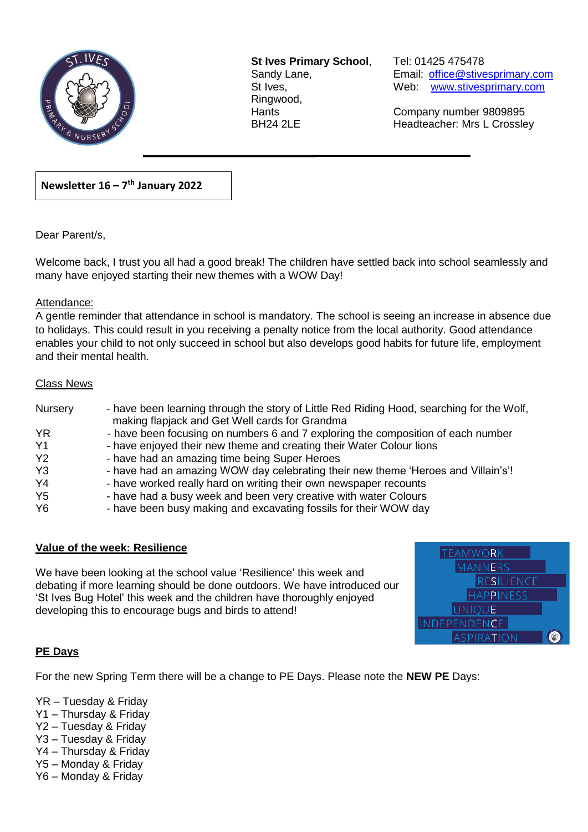

**St Ives Primary School**, Tel: 01425 475478 Ringwood,

Sandy Lane, Email: office@stivesprimary.com St Ives, Manuel Meb: [www.stivesprimary.com](http://www.stives.dorset.sch.uk/)

Hants Company number 9809895 BH24 2LE Headteacher: Mrs L Crossley

### **Newsletter 16 – 7 th January 2022**

Dear Parent/s,

Welcome back, I trust you all had a good break! The children have settled back into school seamlessly and many have enjoyed starting their new themes with a WOW Day!

 $\overline{a}$ 

#### Attendance:

A gentle reminder that attendance in school is mandatory. The school is seeing an increase in absence due to holidays. This could result in you receiving a penalty notice from the local authority. Good attendance enables your child to not only succeed in school but also develops good habits for future life, employment and their mental health.

#### Class News

| Nursery        | - have been learning through the story of Little Red Riding Hood, searching for the Wolf,<br>making flapjack and Get Well cards for Grandma |
|----------------|---------------------------------------------------------------------------------------------------------------------------------------------|
| YR.            | - have been focusing on numbers 6 and 7 exploring the composition of each number                                                            |
| Y <sub>1</sub> | - have enjoyed their new theme and creating their Water Colour lions                                                                        |
| Y2             | - have had an amazing time being Super Heroes                                                                                               |
| Y <sub>3</sub> | - have had an amazing WOW day celebrating their new theme 'Heroes and Villain's'!                                                           |
| Y <sub>4</sub> | - have worked really hard on writing their own newspaper recounts                                                                           |
| Y <sub>5</sub> | - have had a busy week and been very creative with water Colours                                                                            |
| Y <sub>6</sub> | - have been busy making and excavating fossils for their WOW day                                                                            |

#### **Value of the week: Resilience**

We have been looking at the school value 'Resilience' this week and debating if more learning should be done outdoors. We have introduced our 'St Ives Bug Hotel' this week and the children have thoroughly enjoyed developing this to encourage bugs and birds to attend!

| <b>TEAMWORK</b>     |  |
|---------------------|--|
| <b>MANNERS</b>      |  |
| <b>RESILIENCE</b>   |  |
| <b>HAPPINESS</b>    |  |
| <b>UNIQUE</b>       |  |
| <b>INDEPENDENCE</b> |  |
| <b>ASPIRATION</b>   |  |

#### **PE Days**

For the new Spring Term there will be a change to PE Days. Please note the **NEW PE** Days:

- YR Tuesday & Friday
- Y1 Thursday & Friday
- Y2 Tuesday & Friday
- Y3 Tuesday & Friday
- Y4 Thursday & Friday
- Y5 Monday & Friday
- Y6 Monday & Friday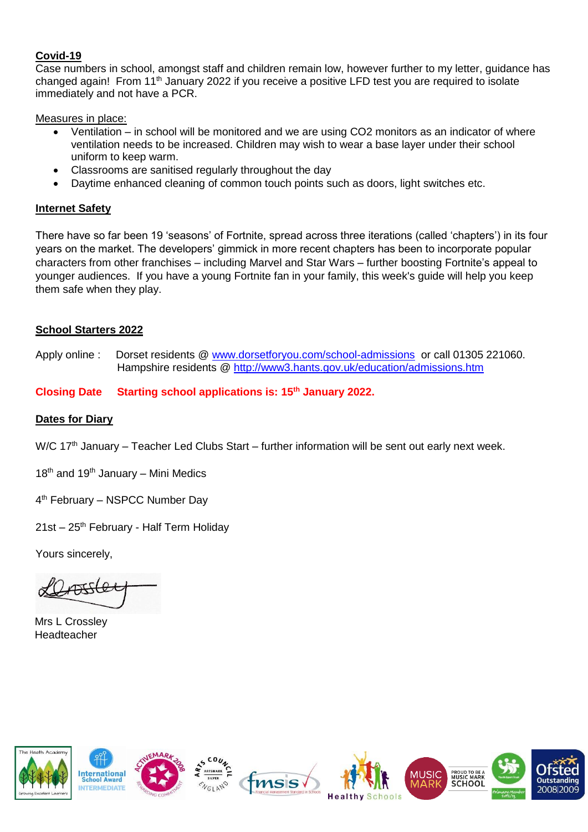#### **Covid-19**

Case numbers in school, amongst staff and children remain low, however further to my letter, guidance has changed again! From 11<sup>th</sup> January 2022 if you receive a positive LFD test you are required to isolate immediately and not have a PCR.

Measures in place:

- Ventilation in school will be monitored and we are using CO2 monitors as an indicator of where ventilation needs to be increased. Children may wish to wear a base layer under their school uniform to keep warm.
- Classrooms are sanitised regularly throughout the day
- Daytime enhanced cleaning of common touch points such as doors, light switches etc.

#### **Internet Safety**

There have so far been 19 'seasons' of Fortnite, spread across three iterations (called 'chapters') in its four years on the market. The developers' gimmick in more recent chapters has been to incorporate popular characters from other franchises – including Marvel and Star Wars – further boosting Fortnite's appeal to younger audiences. If you have a young Fortnite fan in your family, this week's guide will help you keep them safe when they play.

### **School Starters 2022**

Apply online : Dorset residents @ [www.dorsetforyou.com/school-admissions](http://www.dorsetforyou.com/school-admissions) or call 01305 221060. Hampshire residents @<http://www3.hants.gov.uk/education/admissions.htm>

### **Closing Date Starting school applications is: 15th January 2022.**

#### **Dates for Diary**

W/C 17<sup>th</sup> January – Teacher Led Clubs Start – further information will be sent out early next week.

 $18<sup>th</sup>$  and  $19<sup>th</sup>$  January – Mini Medics

4<sup>th</sup> February – NSPCC Number Day

21st – 25<sup>th</sup> February - Half Term Holiday

Yours sincerely,

 $DIFLO$ 

Mrs L Crossley Headteacher